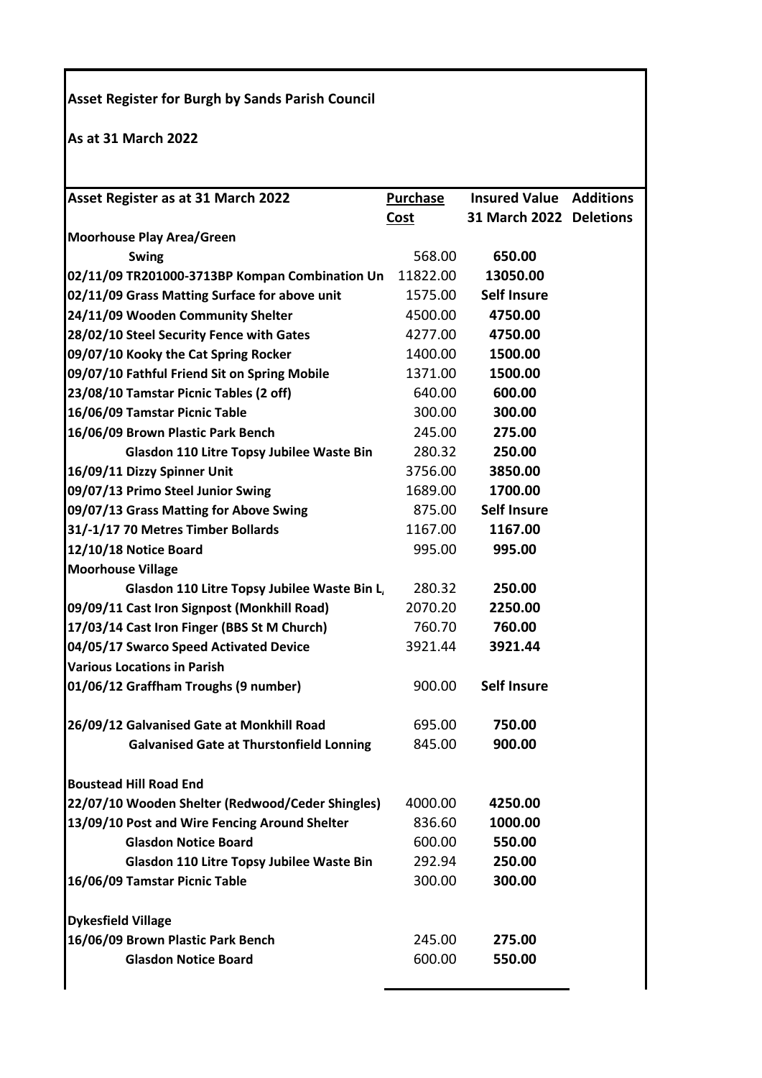## **Asset Register for Burgh by Sands Parish Council**

**As at 31 March 2022**

| 31 March 2022 Deletions<br><b>Cost</b><br><b>Moorhouse Play Area/Green</b><br>568.00<br>650.00<br><b>Swing</b><br>02/11/09 TR201000-3713BP Kompan Combination Un<br>11822.00<br>13050.00<br><b>Self Insure</b><br>1575.00<br>24/11/09 Wooden Community Shelter<br>4500.00<br>4750.00<br>28/02/10 Steel Security Fence with Gates<br>4277.00<br>4750.00<br>09/07/10 Kooky the Cat Spring Rocker<br>1400.00<br>1500.00<br>1371.00<br>09/07/10 Fathful Friend Sit on Spring Mobile<br>1500.00<br>600.00<br>23/08/10 Tamstar Picnic Tables (2 off)<br>640.00<br>300.00<br>16/06/09 Tamstar Picnic Table<br>300.00<br>16/06/09 Brown Plastic Park Bench<br>245.00<br>275.00<br>280.32<br>250.00<br>Glasdon 110 Litre Topsy Jubilee Waste Bin<br>16/09/11 Dizzy Spinner Unit<br>3756.00<br>3850.00<br>09/07/13 Primo Steel Junior Swing<br>1689.00<br>1700.00<br><b>Self Insure</b><br>875.00<br>31/-1/17 70 Metres Timber Bollards<br>1167.00<br>1167.00<br>995.00<br>12/10/18 Notice Board<br>995.00<br><b>Moorhouse Village</b><br>280.32<br>250.00<br>Glasdon 110 Litre Topsy Jubilee Waste Bin L<br>09/09/11 Cast Iron Signpost (Monkhill Road)<br>2070.20<br>2250.00<br>17/03/14 Cast Iron Finger (BBS St M Church)<br>760.70<br>760.00<br>04/05/17 Swarco Speed Activated Device<br>3921.44<br>3921.44<br><b>Various Locations in Parish</b><br><b>Self Insure</b><br>900.00<br>26/09/12 Galvanised Gate at Monkhill Road<br>695.00<br>750.00<br>845.00<br>900.00<br><b>Galvanised Gate at Thurstonfield Lonning</b><br><b>Boustead Hill Road End</b><br>22/07/10 Wooden Shelter (Redwood/Ceder Shingles)<br>4000.00<br>4250.00<br>13/09/10 Post and Wire Fencing Around Shelter<br>836.60<br>1000.00<br><b>Glasdon Notice Board</b><br>600.00<br>550.00<br>250.00<br>Glasdon 110 Litre Topsy Jubilee Waste Bin<br>292.94<br>300.00<br>300.00<br>16/06/09 Tamstar Picnic Table<br><b>Dykesfield Village</b><br>16/06/09 Brown Plastic Park Bench<br>245.00<br>275.00<br><b>Glasdon Notice Board</b><br>600.00<br>550.00 | Asset Register as at 31 March 2022            | Purchase | <b>Insured Value Additions</b> |  |
|--------------------------------------------------------------------------------------------------------------------------------------------------------------------------------------------------------------------------------------------------------------------------------------------------------------------------------------------------------------------------------------------------------------------------------------------------------------------------------------------------------------------------------------------------------------------------------------------------------------------------------------------------------------------------------------------------------------------------------------------------------------------------------------------------------------------------------------------------------------------------------------------------------------------------------------------------------------------------------------------------------------------------------------------------------------------------------------------------------------------------------------------------------------------------------------------------------------------------------------------------------------------------------------------------------------------------------------------------------------------------------------------------------------------------------------------------------------------------------------------------------------------------------------------------------------------------------------------------------------------------------------------------------------------------------------------------------------------------------------------------------------------------------------------------------------------------------------------------------------------------------------------------------------------------------------------------------------------------------------------------------------------------|-----------------------------------------------|----------|--------------------------------|--|
|                                                                                                                                                                                                                                                                                                                                                                                                                                                                                                                                                                                                                                                                                                                                                                                                                                                                                                                                                                                                                                                                                                                                                                                                                                                                                                                                                                                                                                                                                                                                                                                                                                                                                                                                                                                                                                                                                                                                                                                                                          |                                               |          |                                |  |
|                                                                                                                                                                                                                                                                                                                                                                                                                                                                                                                                                                                                                                                                                                                                                                                                                                                                                                                                                                                                                                                                                                                                                                                                                                                                                                                                                                                                                                                                                                                                                                                                                                                                                                                                                                                                                                                                                                                                                                                                                          |                                               |          |                                |  |
|                                                                                                                                                                                                                                                                                                                                                                                                                                                                                                                                                                                                                                                                                                                                                                                                                                                                                                                                                                                                                                                                                                                                                                                                                                                                                                                                                                                                                                                                                                                                                                                                                                                                                                                                                                                                                                                                                                                                                                                                                          |                                               |          |                                |  |
|                                                                                                                                                                                                                                                                                                                                                                                                                                                                                                                                                                                                                                                                                                                                                                                                                                                                                                                                                                                                                                                                                                                                                                                                                                                                                                                                                                                                                                                                                                                                                                                                                                                                                                                                                                                                                                                                                                                                                                                                                          |                                               |          |                                |  |
|                                                                                                                                                                                                                                                                                                                                                                                                                                                                                                                                                                                                                                                                                                                                                                                                                                                                                                                                                                                                                                                                                                                                                                                                                                                                                                                                                                                                                                                                                                                                                                                                                                                                                                                                                                                                                                                                                                                                                                                                                          | 02/11/09 Grass Matting Surface for above unit |          |                                |  |
|                                                                                                                                                                                                                                                                                                                                                                                                                                                                                                                                                                                                                                                                                                                                                                                                                                                                                                                                                                                                                                                                                                                                                                                                                                                                                                                                                                                                                                                                                                                                                                                                                                                                                                                                                                                                                                                                                                                                                                                                                          |                                               |          |                                |  |
|                                                                                                                                                                                                                                                                                                                                                                                                                                                                                                                                                                                                                                                                                                                                                                                                                                                                                                                                                                                                                                                                                                                                                                                                                                                                                                                                                                                                                                                                                                                                                                                                                                                                                                                                                                                                                                                                                                                                                                                                                          |                                               |          |                                |  |
|                                                                                                                                                                                                                                                                                                                                                                                                                                                                                                                                                                                                                                                                                                                                                                                                                                                                                                                                                                                                                                                                                                                                                                                                                                                                                                                                                                                                                                                                                                                                                                                                                                                                                                                                                                                                                                                                                                                                                                                                                          |                                               |          |                                |  |
|                                                                                                                                                                                                                                                                                                                                                                                                                                                                                                                                                                                                                                                                                                                                                                                                                                                                                                                                                                                                                                                                                                                                                                                                                                                                                                                                                                                                                                                                                                                                                                                                                                                                                                                                                                                                                                                                                                                                                                                                                          |                                               |          |                                |  |
|                                                                                                                                                                                                                                                                                                                                                                                                                                                                                                                                                                                                                                                                                                                                                                                                                                                                                                                                                                                                                                                                                                                                                                                                                                                                                                                                                                                                                                                                                                                                                                                                                                                                                                                                                                                                                                                                                                                                                                                                                          |                                               |          |                                |  |
|                                                                                                                                                                                                                                                                                                                                                                                                                                                                                                                                                                                                                                                                                                                                                                                                                                                                                                                                                                                                                                                                                                                                                                                                                                                                                                                                                                                                                                                                                                                                                                                                                                                                                                                                                                                                                                                                                                                                                                                                                          |                                               |          |                                |  |
|                                                                                                                                                                                                                                                                                                                                                                                                                                                                                                                                                                                                                                                                                                                                                                                                                                                                                                                                                                                                                                                                                                                                                                                                                                                                                                                                                                                                                                                                                                                                                                                                                                                                                                                                                                                                                                                                                                                                                                                                                          |                                               |          |                                |  |
|                                                                                                                                                                                                                                                                                                                                                                                                                                                                                                                                                                                                                                                                                                                                                                                                                                                                                                                                                                                                                                                                                                                                                                                                                                                                                                                                                                                                                                                                                                                                                                                                                                                                                                                                                                                                                                                                                                                                                                                                                          |                                               |          |                                |  |
|                                                                                                                                                                                                                                                                                                                                                                                                                                                                                                                                                                                                                                                                                                                                                                                                                                                                                                                                                                                                                                                                                                                                                                                                                                                                                                                                                                                                                                                                                                                                                                                                                                                                                                                                                                                                                                                                                                                                                                                                                          |                                               |          |                                |  |
|                                                                                                                                                                                                                                                                                                                                                                                                                                                                                                                                                                                                                                                                                                                                                                                                                                                                                                                                                                                                                                                                                                                                                                                                                                                                                                                                                                                                                                                                                                                                                                                                                                                                                                                                                                                                                                                                                                                                                                                                                          |                                               |          |                                |  |
|                                                                                                                                                                                                                                                                                                                                                                                                                                                                                                                                                                                                                                                                                                                                                                                                                                                                                                                                                                                                                                                                                                                                                                                                                                                                                                                                                                                                                                                                                                                                                                                                                                                                                                                                                                                                                                                                                                                                                                                                                          | 09/07/13 Grass Matting for Above Swing        |          |                                |  |
|                                                                                                                                                                                                                                                                                                                                                                                                                                                                                                                                                                                                                                                                                                                                                                                                                                                                                                                                                                                                                                                                                                                                                                                                                                                                                                                                                                                                                                                                                                                                                                                                                                                                                                                                                                                                                                                                                                                                                                                                                          |                                               |          |                                |  |
|                                                                                                                                                                                                                                                                                                                                                                                                                                                                                                                                                                                                                                                                                                                                                                                                                                                                                                                                                                                                                                                                                                                                                                                                                                                                                                                                                                                                                                                                                                                                                                                                                                                                                                                                                                                                                                                                                                                                                                                                                          |                                               |          |                                |  |
|                                                                                                                                                                                                                                                                                                                                                                                                                                                                                                                                                                                                                                                                                                                                                                                                                                                                                                                                                                                                                                                                                                                                                                                                                                                                                                                                                                                                                                                                                                                                                                                                                                                                                                                                                                                                                                                                                                                                                                                                                          |                                               |          |                                |  |
|                                                                                                                                                                                                                                                                                                                                                                                                                                                                                                                                                                                                                                                                                                                                                                                                                                                                                                                                                                                                                                                                                                                                                                                                                                                                                                                                                                                                                                                                                                                                                                                                                                                                                                                                                                                                                                                                                                                                                                                                                          |                                               |          |                                |  |
|                                                                                                                                                                                                                                                                                                                                                                                                                                                                                                                                                                                                                                                                                                                                                                                                                                                                                                                                                                                                                                                                                                                                                                                                                                                                                                                                                                                                                                                                                                                                                                                                                                                                                                                                                                                                                                                                                                                                                                                                                          |                                               |          |                                |  |
|                                                                                                                                                                                                                                                                                                                                                                                                                                                                                                                                                                                                                                                                                                                                                                                                                                                                                                                                                                                                                                                                                                                                                                                                                                                                                                                                                                                                                                                                                                                                                                                                                                                                                                                                                                                                                                                                                                                                                                                                                          |                                               |          |                                |  |
|                                                                                                                                                                                                                                                                                                                                                                                                                                                                                                                                                                                                                                                                                                                                                                                                                                                                                                                                                                                                                                                                                                                                                                                                                                                                                                                                                                                                                                                                                                                                                                                                                                                                                                                                                                                                                                                                                                                                                                                                                          |                                               |          |                                |  |
|                                                                                                                                                                                                                                                                                                                                                                                                                                                                                                                                                                                                                                                                                                                                                                                                                                                                                                                                                                                                                                                                                                                                                                                                                                                                                                                                                                                                                                                                                                                                                                                                                                                                                                                                                                                                                                                                                                                                                                                                                          |                                               |          |                                |  |
|                                                                                                                                                                                                                                                                                                                                                                                                                                                                                                                                                                                                                                                                                                                                                                                                                                                                                                                                                                                                                                                                                                                                                                                                                                                                                                                                                                                                                                                                                                                                                                                                                                                                                                                                                                                                                                                                                                                                                                                                                          | 01/06/12 Graffham Troughs (9 number)          |          |                                |  |
|                                                                                                                                                                                                                                                                                                                                                                                                                                                                                                                                                                                                                                                                                                                                                                                                                                                                                                                                                                                                                                                                                                                                                                                                                                                                                                                                                                                                                                                                                                                                                                                                                                                                                                                                                                                                                                                                                                                                                                                                                          |                                               |          |                                |  |
|                                                                                                                                                                                                                                                                                                                                                                                                                                                                                                                                                                                                                                                                                                                                                                                                                                                                                                                                                                                                                                                                                                                                                                                                                                                                                                                                                                                                                                                                                                                                                                                                                                                                                                                                                                                                                                                                                                                                                                                                                          |                                               |          |                                |  |
|                                                                                                                                                                                                                                                                                                                                                                                                                                                                                                                                                                                                                                                                                                                                                                                                                                                                                                                                                                                                                                                                                                                                                                                                                                                                                                                                                                                                                                                                                                                                                                                                                                                                                                                                                                                                                                                                                                                                                                                                                          |                                               |          |                                |  |
|                                                                                                                                                                                                                                                                                                                                                                                                                                                                                                                                                                                                                                                                                                                                                                                                                                                                                                                                                                                                                                                                                                                                                                                                                                                                                                                                                                                                                                                                                                                                                                                                                                                                                                                                                                                                                                                                                                                                                                                                                          |                                               |          |                                |  |
|                                                                                                                                                                                                                                                                                                                                                                                                                                                                                                                                                                                                                                                                                                                                                                                                                                                                                                                                                                                                                                                                                                                                                                                                                                                                                                                                                                                                                                                                                                                                                                                                                                                                                                                                                                                                                                                                                                                                                                                                                          |                                               |          |                                |  |
|                                                                                                                                                                                                                                                                                                                                                                                                                                                                                                                                                                                                                                                                                                                                                                                                                                                                                                                                                                                                                                                                                                                                                                                                                                                                                                                                                                                                                                                                                                                                                                                                                                                                                                                                                                                                                                                                                                                                                                                                                          |                                               |          |                                |  |
|                                                                                                                                                                                                                                                                                                                                                                                                                                                                                                                                                                                                                                                                                                                                                                                                                                                                                                                                                                                                                                                                                                                                                                                                                                                                                                                                                                                                                                                                                                                                                                                                                                                                                                                                                                                                                                                                                                                                                                                                                          |                                               |          |                                |  |
|                                                                                                                                                                                                                                                                                                                                                                                                                                                                                                                                                                                                                                                                                                                                                                                                                                                                                                                                                                                                                                                                                                                                                                                                                                                                                                                                                                                                                                                                                                                                                                                                                                                                                                                                                                                                                                                                                                                                                                                                                          |                                               |          |                                |  |
|                                                                                                                                                                                                                                                                                                                                                                                                                                                                                                                                                                                                                                                                                                                                                                                                                                                                                                                                                                                                                                                                                                                                                                                                                                                                                                                                                                                                                                                                                                                                                                                                                                                                                                                                                                                                                                                                                                                                                                                                                          |                                               |          |                                |  |
|                                                                                                                                                                                                                                                                                                                                                                                                                                                                                                                                                                                                                                                                                                                                                                                                                                                                                                                                                                                                                                                                                                                                                                                                                                                                                                                                                                                                                                                                                                                                                                                                                                                                                                                                                                                                                                                                                                                                                                                                                          |                                               |          |                                |  |
|                                                                                                                                                                                                                                                                                                                                                                                                                                                                                                                                                                                                                                                                                                                                                                                                                                                                                                                                                                                                                                                                                                                                                                                                                                                                                                                                                                                                                                                                                                                                                                                                                                                                                                                                                                                                                                                                                                                                                                                                                          |                                               |          |                                |  |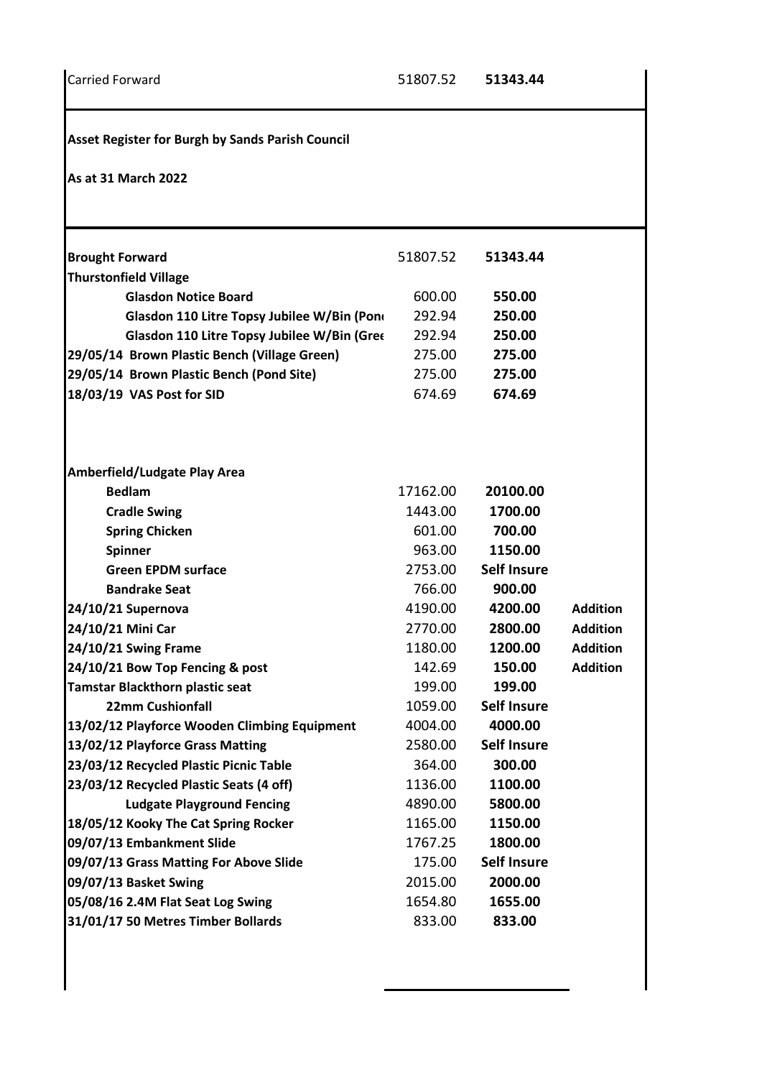**Asset Register for Burgh by Sands Parish Council**

**As at 31 March 2022**

| 51807.52 | 51343.44           |                 |
|----------|--------------------|-----------------|
|          |                    |                 |
| 600.00   | 550.00             |                 |
| 292.94   | 250.00             |                 |
| 292.94   | 250.00             |                 |
| 275.00   | 275.00             |                 |
| 275.00   | 275.00             |                 |
| 674.69   | 674.69             |                 |
|          |                    |                 |
| 17162.00 | 20100.00           |                 |
| 1443.00  | 1700.00            |                 |
| 601.00   | 700.00             |                 |
| 963.00   | 1150.00            |                 |
| 2753.00  | <b>Self Insure</b> |                 |
| 766.00   | 900.00             |                 |
| 4190.00  | 4200.00            | <b>Addition</b> |
| 2770.00  | 2800.00            | <b>Addition</b> |
| 1180.00  | 1200.00            | <b>Addition</b> |
| 142.69   | 150.00             | <b>Addition</b> |
| 199.00   | 199.00             |                 |
| 1059.00  | <b>Self Insure</b> |                 |
| 4004.00  | 4000.00            |                 |
| 2580.00  | <b>Self Insure</b> |                 |
| 364.00   | 300.00             |                 |
| 1136.00  | 1100.00            |                 |
| 4890.00  | 5800.00            |                 |
| 1165.00  | 1150.00            |                 |
| 1767.25  | 1800.00            |                 |
| 175.00   | <b>Self Insure</b> |                 |
| 2015.00  | 2000.00            |                 |
| 1654.80  | 1655.00            |                 |
| 833.00   | 833.00             |                 |
|          |                    |                 |